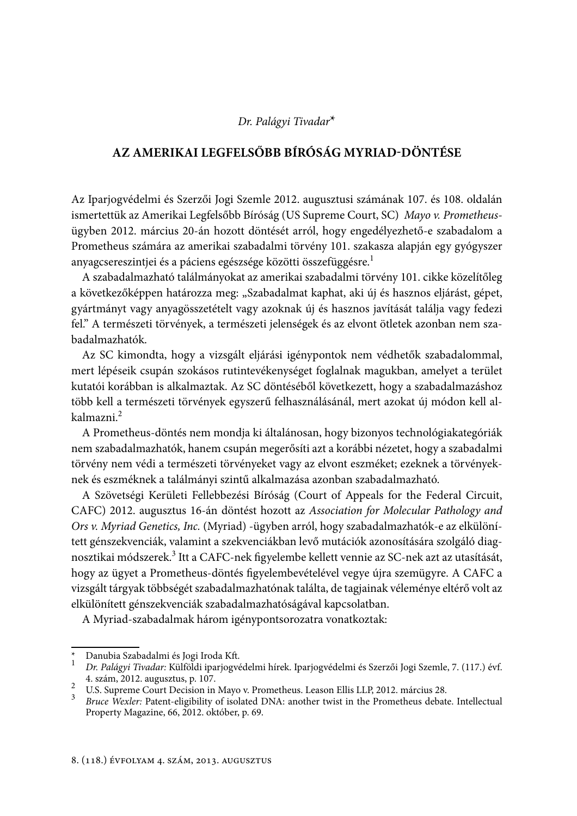## Dr. Palágyi Tivadar<sup>\*</sup>

## AZ AMERIKAI LEGFELSŐBB BÍRÓSÁG MYRIAD-DÖNTÉSE

Az Iparjogvédelmi és Szerzői Jogi Szemle 2012. augusztusi számának 107. és 108. oldalán ismertettük az Amerikai Legfelsőbb Bíróság (US Supreme Court, SC) Mayo v. Prometheusügyben 2012. március 20-án hozott döntését arról, hogy engedélyezhető-e szabadalom a Prometheus számára az amerikai szabadalmi törvény 101. szakasza alapján egy gyógyszer anyagcsereszintjei és a páciens egészsége közötti összefüggésre.<sup>1</sup>

A szabadalmazható találmányokat az amerikai szabadalmi törvény 101. cikke közelítőleg a következőképpen határozza meg: "Szabadalmat kaphat, aki új és hasznos eljárást, gépet, gyártmányt vagy anyagösszetételt vagy azoknak új és hasznos javítását találja vagy fedezi fel." A természeti törvények, a természeti jelenségek és az elvont ötletek azonban nem szabadalmazhatók.

Az SC kimondta, hogy a vizsgált eljárási igénypontok nem védhetők szabadalommal, mert lépéseik csupán szokásos rutintevékenységet foglalnak magukban, amelyet a terület kutatói korábban is alkalmaztak. Az SC döntéséből következett, hogy a szabadalmazáshoz több kell a természeti törvények egyszerű felhasználásánál, mert azokat új módon kell alkalmazni.<sup>2</sup>

A Prometheus-döntés nem mondja ki általánosan, hogy bizonyos technológiakategóriák nem szabadalmazhatók, hanem csupán megerősíti azt a korábbi nézetet, hogy a szabadalmi törvény nem védi a természeti törvényeket vagy az elvont eszméket; ezeknek a törvényeknek és eszméknek a találmányi szintű alkalmazása azonban szabadalmazható.

A Szövetségi Kerületi Fellebbezési Bíróság (Court of Appeals for the Federal Circuit, CAFC) 2012. augusztus 16-án döntést hozott az Association for Molecular Pathology and Ors v. Myriad Genetics, Inc. (Myriad) -ügyben arról, hogy szabadalmazhatók-e az elkülönített génszekvenciák, valamint a szekvenciákban levő mutációk azonosítására szolgáló diagnosztikai módszerek.<sup>3</sup> Itt a CAFC-nek figyelembe kellett vennie az SC-nek azt az utasítását, hogy az ügyet a Prometheus-döntés figyelembevételével vegye újra szemügyre. A CAFC a vizsgált tárgyak többségét szabadalmazhatónak találta, de tagjainak véleménye eltérő volt az elkülönített génszekvenciák szabadalmazhatóságával kapcsolatban.

A Myriad-szabadalmak három igénypontsorozatra vonatkoztak:

Danubia Szabadalmi és Jogi Iroda Kft.

<sup>1</sup> Dr. Palágyi Tivadar: Külföldi iparjogvédelmi hírek. Iparjogvédelmi és Szerzői Jogi Szemle, 7. (117.) évf. 4. szám, 2012. augusztus, p. 107.

<sup>&</sup>lt;sup>2</sup> U.S. Supreme Court Decision in Mayo v. Prometheus. Leason Ellis LLP, 2012. március 28.

<sup>&</sup>lt;sup>3</sup> *Bruce Wexler: Patent-eligibility of isolated DNA: another twist in the Prometheus debate. Intellectual* Property Magazine, 66, 2012. október, p. 69.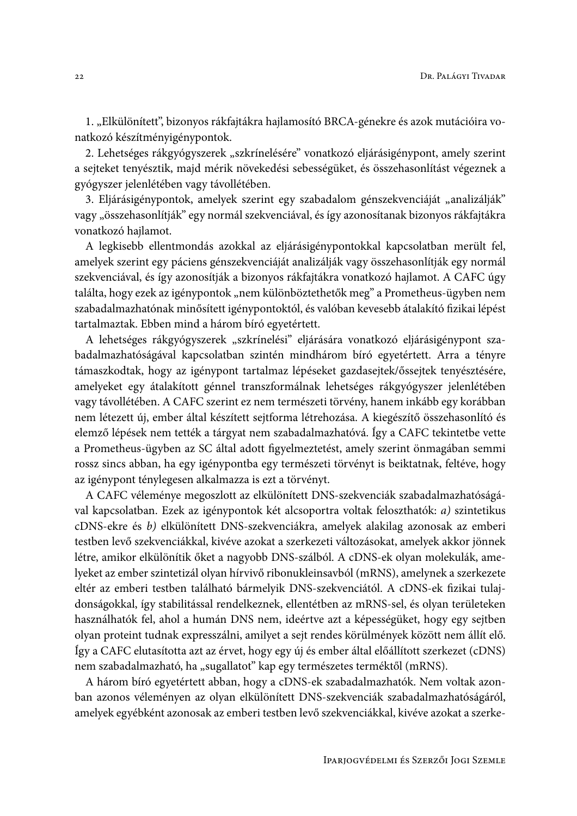1. "Elkülönített", bizonyos rákfajtákra hajlamosító BRCA-génekre és azok mutációira vonatkozó készítményigénypontok.

2. Lehetséges rákgyógyszerek "szkrínelésére" vonatkozó eljárásigénypont, amely szerint a sejteket tenyésztik, majd mérik növekedési sebességüket, és összehasonlítást végeznek a gyógyszer jelenlétében vagy távollétében.

3. Eljárásigénypontok, amelyek szerint egy szabadalom génszekvenciáját "analizálják" vagy "összehasonlítják" egy normál szekvenciával, és így azonosítanak bizonyos rákfajtákra vonatkozó hajlamot.

A legkisebb ellentmondás azokkal az eljárásigénypontokkal kapcsolatban merült fel, amelyek szerint egy páciens génszekvenciáját analizálják vagy összehasonlítják egy normál szekvenciával, és így azonosítják a bizonyos rákfajtákra vonatkozó hajlamot. A CAFC úgy találta, hogy ezek az igénypontok "nem különböztethetők meg" a Prometheus-ügyben nem szabadalmazhatónak minősített igénypontoktól, és valóban kevesebb átalakító fizikai lépést tartalmaztak. Ebben mind a három bíró egyetértett.

A lehetséges rákgyógyszerek "szkrínelési" eljárására vonatkozó eljárásigénypont szabadalmazhatóságával kapcsolatban szintén mindhárom bíró egyetértett. Arra a tényre támaszkodtak, hogy az igénypont tartalmaz lépéseket gazdasejtek/őssejtek tenyésztésére, amelyeket egy átalakított génnel transzformálnak lehetséges rákgyógyszer jelenlétében vagy távollétében. A CAFC szerint ez nem természeti törvény, hanem inkább egy korábban nem létezett új, ember által készített sejtforma létrehozása. A kiegészítő összehasonlító és elemző lépések nem tették a tárgyat nem szabadalmazhatóvá. Így a CAFC tekintetbe vette a Prometheus-ügyben az SC által adott figyelmeztetést, amely szerint önmagában semmi rossz sincs abban, ha egy igénypontba egy természeti törvényt is beiktatnak, feltéve, hogy az igénypont ténylegesen alkalmazza is ezt a törvényt.

A CAFC véleménye megoszlott az elkülönített DNS-szekvenciák szabadalmazhatóságával kapcsolatban. Ezek az igénypontok két alcsoportra voltak feloszthatók: a) szintetikus cDNS-ekre és b) elkülönített DNS-szekvenciákra, amelyek alakilag azonosak az emberi testben levő szekvenciákkal, kivéve azokat a szerkezeti változásokat, amelyek akkor jönnek létre, amikor elkülönítik őket a nagyobb DNS-szálból. A cDNS-ek olyan molekulák, amelyeket az ember szintetizál olyan hírvivő ribonukleinsavból (mRNS), amelynek a szerkezete eltér az emberi testben található bármelyik DNS-szekvenciától. A cDNS-ek fizikai tulajdonságokkal, így stabilitással rendelkeznek, ellentétben az mRNS-sel, és olyan területeken használhatók fel, ahol a humán DNS nem, ideértve azt a képességüket, hogy egy sejtben olyan proteint tudnak expresszálni, amilyet a sejt rendes körülmények között nem állít elő. Így a CAFC elutasította azt az érvet, hogy egy új és ember által előállított szerkezet (cDNS) nem szabadalmazható, ha "sugallatot" kap egy természetes terméktől (mRNS).

A három bíró egyetértett abban, hogy a cDNS-ek szabadalmazhatók. Nem voltak azonban azonos véleményen az olyan elkülönített DNS-szekvenciák szabadalmazhatóságáról, amelyek egyébként azonosak az emberi testben levő szekvenciákkal, kivéve azokat a szerke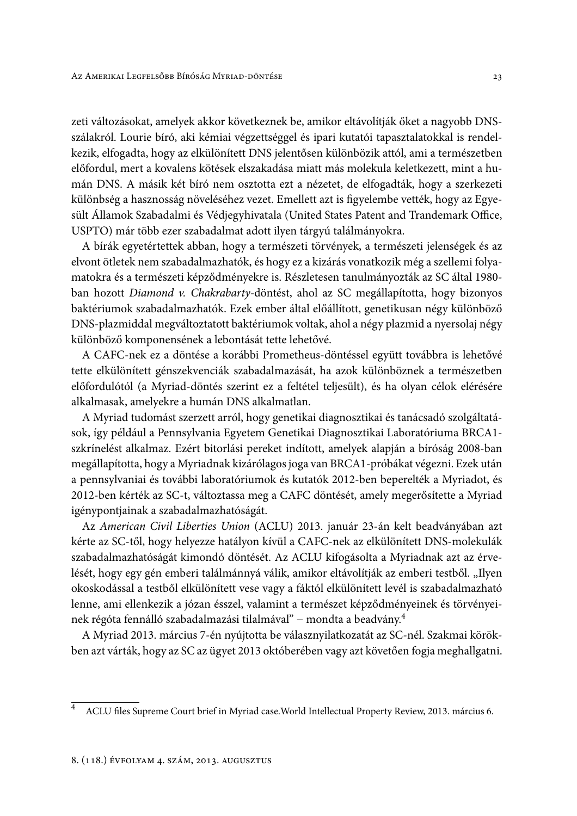zeti változásokat, amelyek akkor következnek be, amikor eltávolítják őket a nagyobb DNSszálakról. Lourie bíró, aki kémiai végzettséggel és ipari kutatói tapasztalatokkal is rendelkezik, elfogadta, hogy az elkülönített DNS jelentősen különbözik attól, ami a természetben előfordul, mert a kovalens kötések elszakadása miatt más molekula keletkezett, mint a humán DNS. A másik két bíró nem osztotta ezt a nézetet, de elfogadták, hogy a szerkezeti különbség a hasznosság növeléséhez vezet. Emellett azt is figyelembe vették, hogy az Egyesült Államok Szabadalmi és Védjegyhivatala (United States Patent and Trandemark Office, USPTO) már több ezer szabadalmat adott ilyen tárgyú találmányokra.

A bírák egyetértettek abban, hogy a természeti törvények, a természeti jelenségek és az elvont ötletek nem szabadalmazhatók, és hogy ez a kizárás vonatkozik még a szellemi folyamatokra és a természeti képződményekre is. Részletesen tanulmányozták az SC által 1980ban hozott Diamond v. Chakrabarty-döntést, ahol az SC megállapította, hogy bizonyos baktériumok szabadalmazhatók. Ezek ember által előállított, genetikusan négy különböző DNS-plazmiddal megváltoztatott baktériumok voltak, ahol a négy plazmid a nyersolaj négy különböző komponensének a lebontását tette lehetővé.

A CAFC-nek ez a döntése a korábbi Prometheus-döntéssel együtt továbbra is lehetővé tette elkülönített génszekvenciák szabadalmazását, ha azok különböznek a természetben előfordulótól (a Myriad-döntés szerint ez a feltétel teljesült), és ha olyan célok elérésére alkalmasak, amelyekre a humán DNS alkalmatlan.

A Myriad tudomást szerzett arról, hogy genetikai diagnosztikai és tanácsadó szolgáltatások, így például a Pennsylvania Egyetem Genetikai Diagnosztikai Laboratóriuma BRCA1szkrínelést alkalmaz. Ezért bitorlási pereket indított, amelyek alapján a bíróság 2008-ban megállapította, hogy a Myriadnak kizárólagos joga van BRCA1-próbákat végezni. Ezek után a pennsylvaniai és további laboratóriumok és kutatók 2012-ben beperelték a Myriadot, és 2012-ben kérték az SC-t, változtassa meg a CAFC döntését, amely megerősítette a Myriad igénypontjainak a szabadalmazhatóságát.

Az American Civil Liberties Union (ACLU) 2013. január 23-án kelt beadványában azt kérte az SC-től, hogy helyezze hatályon kívül a CAFC-nek az elkülönített DNS-molekulák szabadalmazhatóságát kimondó döntését. Az ACLU kifogásolta a Myriadnak azt az érvelését, hogy egy gén emberi találmánnyá válik, amikor eltávolítják az emberi testből. "Ilyen okoskodással a testből elkülönített vese vagy a fáktól elkülönített levél is szabadalmazható lenne, ami ellenkezik a józan ésszel, valamint a természet képződményeinek és törvényeinek régóta fennálló szabadalmazási tilalmával" – mondta a beadvány.<sup>4</sup>

A Myriad 2013. március 7-én nyújtotta be válasznyilatkozatát az SC-nél. Szakmai körökben azt várták, hogy az SC az ügyet 2013 októberében vagy azt követően fogja meghallgatni.

 $\overline{4}$ ACLU files Supreme Court brief in Myriad case. World Intellectual Property Review, 2013. március 6.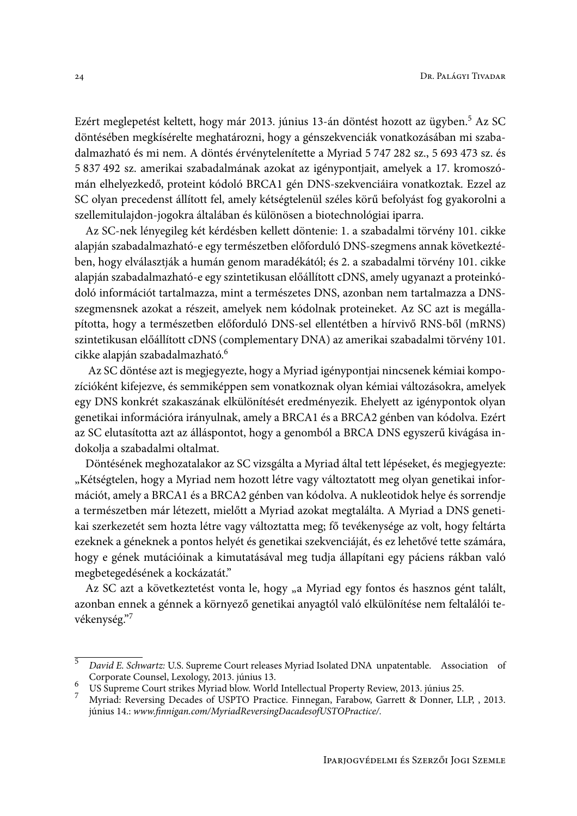Ezért meglepetést keltett, hogy már 2013. június 13-án döntést hozott az ügyben.<sup>5</sup> Az SC döntésében megkísérelte meghatározni, hogy a génszekvenciák vonatkozásában mi szabadalmazható és mi nem. A döntés érvénytelenítette a Myriad 5 747 282 sz., 5 693 473 sz. és 5 837 492 sz. amerikai szabadalmának azokat az igénypontjait, amelyek a 17. kromoszómán elhelyezkedő, proteint kódoló BRCA1 gén DNS-szekvenciáira vonatkoztak. Ezzel az SC olyan precedenst állított fel, amely kétségtelenül széles körű befolyást fog gyakorolni a szellemitulajdon-jogokra általában és különösen a biotechnológiai iparra.

Az SC-nek lényegileg két kérdésben kellett döntenie: 1. a szabadalmi törvény 101. cikke alapján szabadalmazható-e egy természetben előforduló DNS-szegmens annak következtében, hogy elválasztják a humán genom maradékától; és 2. a szabadalmi törvény 101. cikke alapján szabadalmazható-e egy szintetikusan előállított cDNS, amely ugyanazt a proteinkódoló információt tartalmazza, mint a természetes DNS, azonban nem tartalmazza a DNSszegmensnek azokat a részeit, amelyek nem kódolnak proteineket. Az SC azt is megállapította, hogy a természetben előforduló DNS-sel ellentétben a hírvivő RNS-ből (mRNS) szintetikusan előállított cDNS (complementary DNA) az amerikai szabadalmi törvény 101. cikke alapján szabadalmazható.<sup>6</sup>

Az SC döntése azt is megjegyezte, hogy a Myriad igénypontjai nincsenek kémiai kompozícióként kifejezve, és semmiképpen sem vonatkoznak olyan kémiai változásokra, amelyek egy DNS konkrét szakaszának elkülönítését eredményezik. Ehelyett az igénypontok olyan genetikai információra irányulnak, amely a BRCA1 és a BRCA2 génben van kódolva. Ezért az SC elutasította azt az álláspontot, hogy a genomból a BRCA DNS egyszerű kivágása indokolja a szabadalmi oltalmat.

Döntésének meghozatalakor az SC vizsgálta a Myriad által tett lépéseket, és megjegyezte: "Kétségtelen, hogy a Myriad nem hozott létre vagy változtatott meg olyan genetikai információt, amely a BRCA1 és a BRCA2 génben van kódolva. A nukleotidok helye és sorrendje a természetben már létezett, mielőtt a Myriad azokat megtalálta. A Myriad a DNS genetikai szerkezetét sem hozta létre vagy változtatta meg; fő tevékenysége az volt, hogy feltárta ezeknek a géneknek a pontos helyét és genetikai szekvenciáját, és ez lehetővé tette számára, hogy e gének mutációinak a kimutatásával meg tudja állapítani egy páciens rákban való megbetegedésének a kockázatát."

Az SC azt a következtetést vonta le, hogy "a Myriad egy fontos és hasznos gént talált, azonban ennek a génnek a környező genetikai anyagtól való elkülönítése nem feltalálói tevékenység."7

 $\overline{5}$ David E. Schwartz: U.S. Supreme Court releases Myriad Isolated DNA unpatentable. Association of Corporate Counsel, Lexology, 2013. június 13.

US Supreme Court strikes Myriad blow. World Intellectual Property Review, 2013. június 25.

Myriad: Reversing Decades of USPTO Practice. Finnegan, Farabow, Garrett & Donner, LLP, , 2013. június 14.: www.finnigan.com/MyriadReversingDacadesofUSTOPractice/.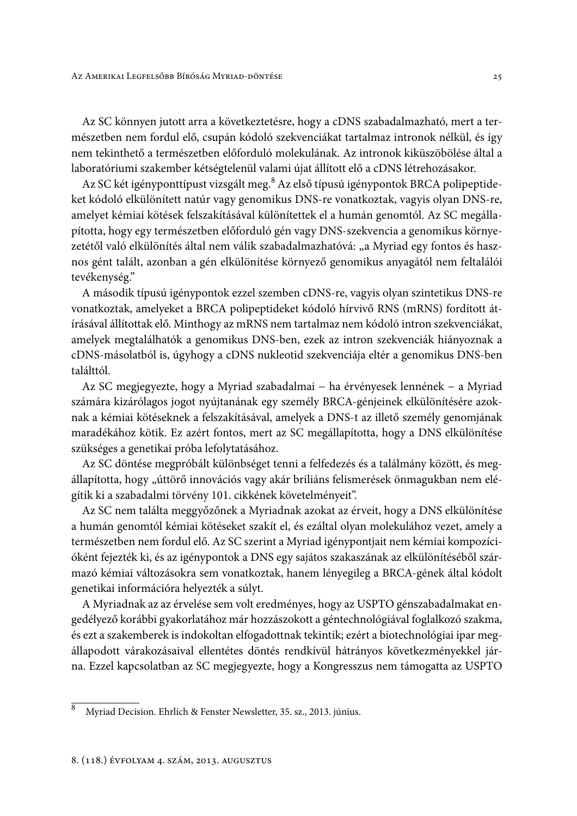Az SC könnyen jutott arra a következtetésre, hogy a cDNS szabadalmazható, mert a természetben nem fordul elő, csupán kódoló szekvenciákat tartalmaz intronok nélkül, és így nem tekinthető a természetben előforduló molekulának. Az intronok kiküszöbölése által a laboratóriumi szakember kétségtelenül valami újat állított elő a cDNS létrehozásakor.

Az SC két igényponttípust vizsgált meg.<sup>8</sup> Az első típusú igénypontok BRCA polipeptideket kódoló elkülönített natúr vagy genomikus DNS-re vonatkoztak, vagyis olyan DNS-re, amelyet kémiai kötések felszakításával különítettek el a humán genomtól. Az SC megállapította, hogy egy természetben előforduló gén vagy DNS-szekvencia a genomikus környezetétől való elkülönítés által nem válik szabadalmazhatóvá: "a Myriad egy fontos és hasznos gént talált, azonban a gén elkülönítése környező genomikus anyagától nem feltalálói tevékenység."

A második típusú igénypontok ezzel szemben cDNS-re, vagyis olyan szintetikus DNS-re vonatkoztak, amelyeket a BRCA polipeptideket kódoló hírvivő RNS (mRNS) fordított átírásával állítottak elő. Minthogy az mRNS nem tartalmaz nem kódoló intron szekvenciákat, amelyek megtalálhatók a genomikus DNS-ben, ezek az intron szekvenciák hiányoznak a cDNS-másolatból is, úgyhogy a cDNS nukleotid szekvenciája eltér a genomikus DNS-ben találttól

Az SC megjegyezte, hogy a Myriad szabadalmai – ha érvényesek lennének – a Myriad számára kizárólagos jogot nyújtanának egy személy BRCA-génjeinek elkülönítésére azoknak a kémiai kötéseknek a felszakításával, amelyek a DNS-t az illető személy genomjának maradékához kötik. Ez azért fontos, mert az SC megállapította, hogy a DNS elkülönítése szükséges a genetikai próba lefolytatásához.

Az SC döntése megpróbált különbséget tenni a felfedezés és a találmány között, és megállapította, hogy "úttörő innovációs vagy akár briliáns felismerések önmagukban nem elégítik ki a szabadalmi törvény 101. cikkének követelményeit".

Az SC nem találta meggyőzőnek a Myriadnak azokat az érveit, hogy a DNS elkülönítése a humán genomtól kémiai kötéseket szakít el, és ezáltal olyan molekulához vezet, amely a természetben nem fordul elő. Az SC szerint a Myriad igénypontjait nem kémiai kompozícióként fejezték ki, és az igénypontok a DNS egy sajátos szakaszának az elkülönítéséből származó kémiai változásokra sem vonatkoztak, hanem lényegileg a BRCA-gének által kódolt genetikai információra helyezték a súlyt.

A Myriadnak az az érvelése sem volt eredményes, hogy az USPTO génszabadalmakat engedélyező korábbi gyakorlatához már hozzászokott a géntechnológiával foglalkozó szakma, és ezt a szakemberek is indokoltan elfogadottnak tekintik; ezért a biotechnológiai ipar megállapodott várakozásaival ellentétes döntés rendkívül hátrányos következményekkel járna. Ezzel kapcsolatban az SC megjegyezte, hogy a Kongresszus nem támogatta az USPTO

 $\overline{8}$ Myriad Decision. Ehrlich & Fenster Newsletter, 35. sz., 2013. június.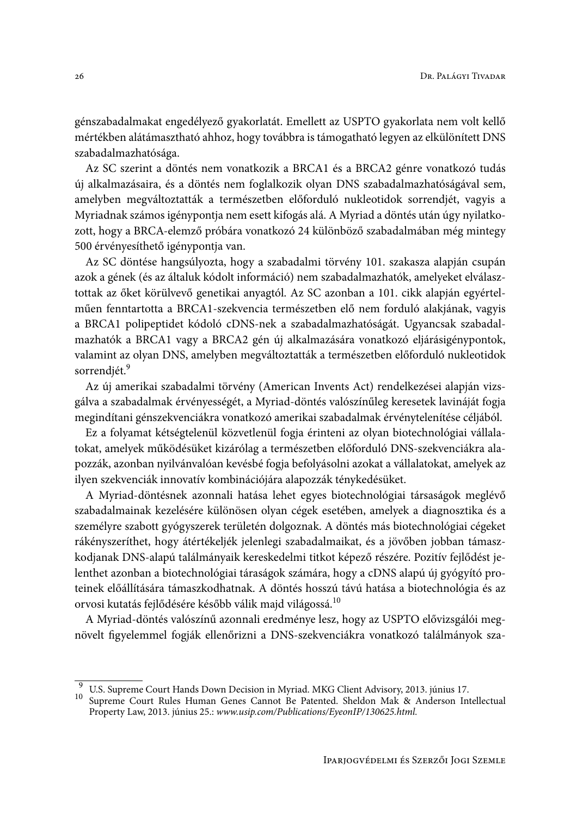génszabadalmakat engedélyező gyakorlatát. Emellett az USPTO gyakorlata nem volt kellő mértékben alátámasztható ahhoz, hogy továbbra is támogatható legyen az elkülönített DNS szabadalmazhatósága.

Az SC szerint a döntés nem vonatkozik a BRCA1 és a BRCA2 génre vonatkozó tudás új alkalmazásaira, és a döntés nem foglalkozik olyan DNS szabadalmazhatóságával sem, amelyben megváltoztatták a természetben előforduló nukleotidok sorrendjét, vagyis a Myriadnak számos igénypontja nem esett kifogás alá. A Myriad a döntés után úgy nyilatkozott, hogy a BRCA-elemző próbára vonatkozó 24 különböző szabadalmában még mintegy 500 érvényesíthető igénypontja van.

Az SC döntése hangsúlyozta, hogy a szabadalmi törvény 101. szakasza alapján csupán azok a gének (és az általuk kódolt információ) nem szabadalmazhatók, amelyeket elválasztottak az őket körülvevő genetikai anyagtól. Az SC azonban a 101. cikk alapján egyértelműen fenntartotta a BRCA1-szekvencia természetben elő nem forduló alakjának, vagyis a BRCA1 polipeptidet kódoló cDNS-nek a szabadalmazhatóságát. Ugyancsak szabadalmazhatók a BRCA1 vagy a BRCA2 gén új alkalmazására vonatkozó eljárásigénypontok, valamint az olyan DNS, amelyben megváltoztatták a természetben előforduló nukleotidok sorrendiét.<sup>9</sup>

Az új amerikai szabadalmi törvény (American Invents Act) rendelkezései alapján vizsgálva a szabadalmak érvényességét, a Myriad-döntés valószínűleg keresetek lavináját fogja megindítani génszekvenciákra vonatkozó amerikai szabadalmak érvénytelenítése céljából.

Ez a folyamat kétségtelenül közvetlenül fogja érinteni az olyan biotechnológiai vállalatokat, amelyek működésüket kizárólag a természetben előforduló DNS-szekvenciákra alapozzák, azonban nyilvánvalóan kevésbé fogja befolyásolni azokat a vállalatokat, amelyek az ilyen szekvenciák innovatív kombinációjára alapozzák ténykedésüket.

A Myriad-döntésnek azonnali hatása lehet egyes biotechnológiai társaságok meglévő szabadalmainak kezelésére különösen olyan cégek esetében, amelyek a diagnosztika és a személyre szabott gyógyszerek területén dolgoznak. A döntés más biotechnológiai cégeket rákényszeríthet, hogy átértékeljék jelenlegi szabadalmaikat, és a jövőben jobban támaszkodjanak DNS-alapú találmányaik kereskedelmi titkot képező részére. Pozitív fejlődést jelenthet azonban a biotechnológiai táraságok számára, hogy a cDNS alapú új gyógyító proteinek előállítására támaszkodhatnak. A döntés hosszú távú hatása a biotechnológia és az orvosi kutatás fejlődésére később válik majd világossá.<sup>10</sup>

A Myriad-döntés valószínű azonnali eredménye lesz, hogy az USPTO elővizsgálói megnövelt figyelemmel fogják ellenőrizni a DNS-szekvenciákra vonatkozó találmányok sza-

<sup>&</sup>lt;sup>9</sup> U.S. Supreme Court Hands Down Decision in Myriad. MKG Client Advisory, 2013. június 17.

 $10\,$ Supreme Court Rules Human Genes Cannot Be Patented. Sheldon Mak & Anderson Intellectual Property Law, 2013. június 25.: www.usip.com/Publications/EyeonIP/130625.html.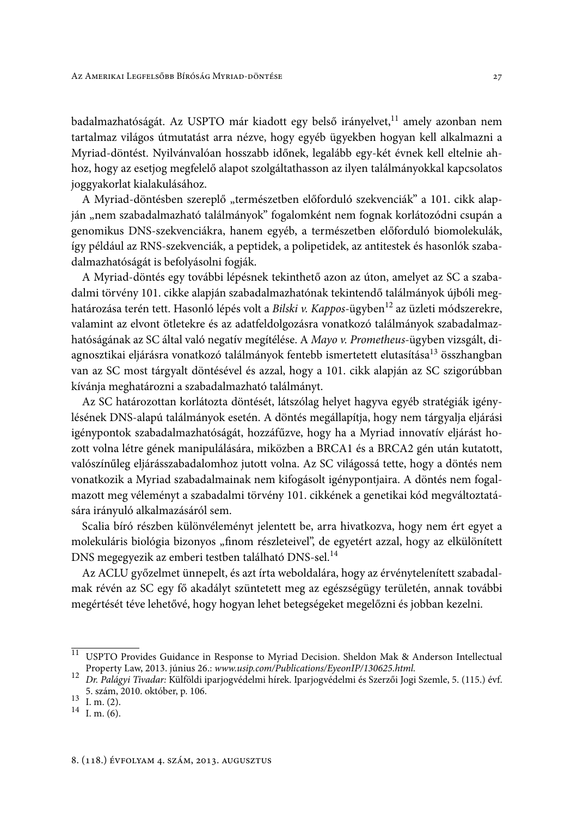badalmazhatóságát. Az USPTO már kiadott egy belső irányelvet,<sup>11</sup> amely azonban nem tartalmaz világos útmutatást arra nézve, hogy egyéb ügyekben hogyan kell alkalmazni a Myriad-döntést. Nyilvánvalóan hosszabb időnek, legalább egy-két évnek kell eltelnie ahhoz, hogy az esetjog megfelelő alapot szolgáltathasson az ilyen találmányokkal kapcsolatos joggyakorlat kialakulásához.

A Myriad-döntésben szereplő "természetben előforduló szekvenciák" a 101. cikk alapján "nem szabadalmazható találmányok" fogalomként nem fognak korlátozódni csupán a genomikus DNS-szekvenciákra, hanem egyéb, a természetben előforduló biomolekulák, így például az RNS-szekvenciák, a peptidek, a polipetidek, az antitestek és hasonlók szabadalmazhatóságát is befolyásolni fogják.

A Myriad-döntés egy további lépésnek tekinthető azon az úton, amelyet az SC a szabadalmi törvény 101. cikke alapján szabadalmazhatónak tekintendő találmányok újbóli meghatározása terén tett. Hasonló lépés volt a Bilski v. Kappos-ügyben<sup>12</sup> az üzleti módszerekre, valamint az elvont ötletekre és az adatfeldolgozásra vonatkozó találmányok szabadalmazhatóságának az SC által való negatív megítélése. A Mayo v. Prometheus-ügyben vizsgált, diagnosztikai eljárásra vonatkozó találmányok fentebb ismertetett elutasítása<sup>13</sup> összhangban van az SC most tárgyalt döntésével és azzal, hogy a 101. cikk alapján az SC szigorúbban kívánja meghatározni a szabadalmazható találmányt.

Az SC határozottan korlátozta döntését, látszólag helyet hagyva egyéb stratégiák igénylésének DNS-alapú találmányok esetén. A döntés megállapítja, hogy nem tárgyalja eljárási igénypontok szabadalmazhatóságát, hozzáfűzve, hogy ha a Myriad innovatív eljárást hozott volna létre gének manipulálására, miközben a BRCA1 és a BRCA2 gén után kutatott, valószínűleg eljárásszabadalomhoz jutott volna. Az SC világossá tette, hogy a döntés nem vonatkozik a Myriad szabadalmainak nem kifogásolt igénypontjaira. A döntés nem fogalmazott meg véleményt a szabadalmi törvény 101. cikkének a genetikai kód megváltoztatására irányuló alkalmazásáról sem.

Scalia bíró részben különvéleményt jelentett be, arra hivatkozva, hogy nem ért egyet a molekuláris biológia bizonyos "finom részleteivel", de egyetért azzal, hogy az elkülönített DNS megegyezik az emberi testben található DNS-sel.<sup>14</sup>

Az ACLU győzelmet ünnepelt, és azt írta weboldalára, hogy az érvénytelenített szabadalmak révén az SC egy fő akadályt szüntetett meg az egészségügy területén, annak további megértését téve lehetővé, hogy hogyan lehet betegségeket megelőzni és jobban kezelni.

<sup>&</sup>lt;sup>11</sup> USPTO Provides Guidance in Response to Myriad Decision. Sheldon Mak & Anderson Intellectual Property Law, 2013. június 26.: www.usip.com/Publications/EyeonIP/130625.html.

<sup>12</sup> Dr. Palágyi Tivadar: Külföldi iparjogvédelmi hírek. Iparjogvédelmi és Szerzői Jogi Szemle, 5. (115.) évf. 5. szám, 2010. október, p. 106.

 $13 \tI. m. (2).$ 

 $14 \frac{1}{1} \frac{1}{1} \frac{1}{1} \frac{1}{1} \frac{1}{1} \frac{1}{1} \frac{1}{1} \frac{1}{1} \frac{1}{1} \frac{1}{1} \frac{1}{1} \frac{1}{1} \frac{1}{1} \frac{1}{1} \frac{1}{1} \frac{1}{1} \frac{1}{1} \frac{1}{1} \frac{1}{1} \frac{1}{1} \frac{1}{1} \frac{1}{1} \frac{1}{1} \frac{1}{1} \frac{1}{1} \frac{1}{1} \frac{1}{1} \frac{1}{1} \frac{1}{1} \frac{1}{1} \frac{1}{1} \$